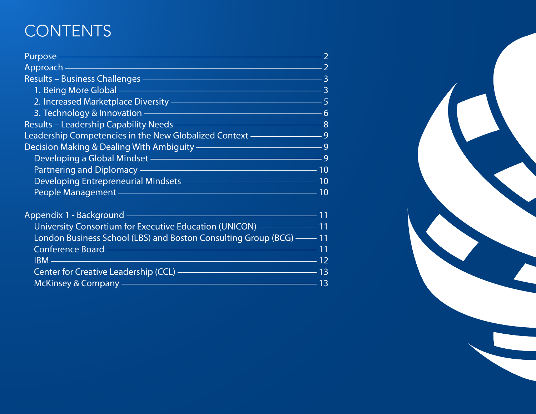# **CONTENTS**

|                                                                                                                                                                                                                                                                                                                                                                                                                                                                                            | $\overline{2}$ |
|--------------------------------------------------------------------------------------------------------------------------------------------------------------------------------------------------------------------------------------------------------------------------------------------------------------------------------------------------------------------------------------------------------------------------------------------------------------------------------------------|----------------|
|                                                                                                                                                                                                                                                                                                                                                                                                                                                                                            |                |
| Results – Business Challenges – Entre Estate Library and Security 1984                                                                                                                                                                                                                                                                                                                                                                                                                     |                |
| 1. Being More Global <u>- All and Change and Change and Change and Change and Change and Change and Change and Ch</u>                                                                                                                                                                                                                                                                                                                                                                      |                |
| 2. Increased Marketplace Diversity ————————————————————5                                                                                                                                                                                                                                                                                                                                                                                                                                   |                |
|                                                                                                                                                                                                                                                                                                                                                                                                                                                                                            |                |
|                                                                                                                                                                                                                                                                                                                                                                                                                                                                                            |                |
| Leadership Competencies in the New Globalized Context <b>Commence 20</b> 9                                                                                                                                                                                                                                                                                                                                                                                                                 |                |
| Decision Making & Dealing With Ambiguity — <u>Conservation of</u> the set of the Security of the Security of the Security of the Security of the Security of the Security of the Security of the Security of the Security of the Se                                                                                                                                                                                                                                                        |                |
| Developing a Global Mindset —————————————————————9                                                                                                                                                                                                                                                                                                                                                                                                                                         |                |
| Partnering and Diplomacy — Martin Martin Martin Martin Martin Martin Martin Martin Martin Martin Martin Marti                                                                                                                                                                                                                                                                                                                                                                              |                |
|                                                                                                                                                                                                                                                                                                                                                                                                                                                                                            |                |
| People Management – Management – Management – Management – Management – Management – Management – Management –                                                                                                                                                                                                                                                                                                                                                                             |                |
| Appendix 1 - Background — <u>— — — — — — — — — — — — — — — — 11</u>                                                                                                                                                                                                                                                                                                                                                                                                                        |                |
| University Consortium for Executive Education (UNICON) ————————————————11                                                                                                                                                                                                                                                                                                                                                                                                                  |                |
| London Business School (LBS) and Boston Consulting Group (BCG) — 11                                                                                                                                                                                                                                                                                                                                                                                                                        |                |
| Conference Board ——————————————————————————————11                                                                                                                                                                                                                                                                                                                                                                                                                                          |                |
| $\mathsf{IBM} \,\mathsf{---} \,\mathsf{---} \,\mathsf{---} \,\mathsf{---} \,\mathsf{---} \,\mathsf{---} \,\mathsf{---} \,\mathsf{---} \,\mathsf{---} \,\mathsf{---} \,\mathsf{---} \,\mathsf{---} \,\mathsf{---} \,\mathsf{---} \,\mathsf{---} \,\mathsf{---} \,\mathsf{---} \,\mathsf{---} \,\mathsf{---} \,\mathsf{---} \,\mathsf{---} \,\mathsf{---} \,\mathsf{---} \,\mathsf{---} \,\mathsf{---} \,\mathsf{---} \,\mathsf{---} \,\mathsf{---} \,\mathsf{---} \,\mathsf{---} \,\mathsf$ |                |
| Center for Creative Leadership (CCL) ————————————————————13                                                                                                                                                                                                                                                                                                                                                                                                                                |                |
| McKinsey & Company ———————————————————————————13<br>$\mathcal{L}^{\text{max}}_{\text{max}}$                                                                                                                                                                                                                                                                                                                                                                                                |                |

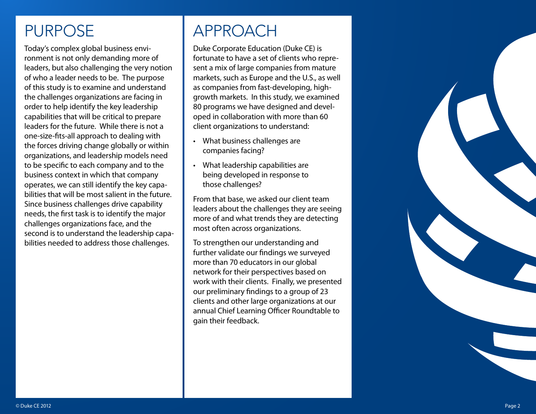## <span id="page-1-0"></span>PURPOSE

Today's complex global business envi ronment is not only demanding more of leaders, but also challenging the very notion of who a leader needs to be. The purpose of this study is to examine and understand the challenges organizations are facing in order to help identify the key leadership capabilities that will be critical to prepare leaders for the future. While there is not a one-size-fits-all approach to dealing with the forces driving change globally or within organizations, and leadership models need to be specific to each company and to the business context in which that company operates, we can still identify the key capa bilities that will be most salient in the future. Since business challenges drive capability needs, the first task is to identify the major challenges organizations face, and the second is to understand the leadership capa bilities needed to address those challenges.

# <span id="page-1-1"></span>APPROACH

Duke Corporate Education (Duke CE) is fortunate to have a set of clients who repre sent a mix of large companies from mature markets, such as Europe and the U.S., as well as companies from fast-developing, highgrowth markets. In this study, we examined 80 programs we have designed and devel oped in collaboration with more than 60 client organizations to understand:

- What business challenges are companies facing?
- What leadership capabilities are being developed in response to those challenges?

From that base, we asked our client team leaders about the challenges they are seeing more of and what trends they are detecting most often across organizations.

To strengthen our understanding and further validate our findings we surveyed more than 70 educators in our global network for their perspectives based on work with their clients. Finally, we presented our preliminary findings to a group of 23 clients and other large organizations at our annual Chief Learning Officer Roundtable to gain their feedback.

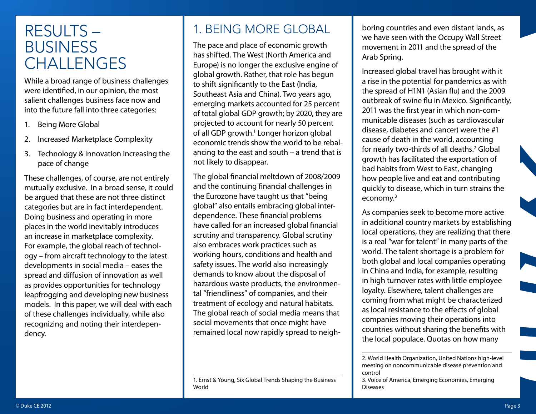## <span id="page-2-0"></span>RESULTS – **BUSINESS CHALLENGES**

While a broad range of business challenges were identified, in our opinion, the most salient challenges business face now and into the future fall into three categories:

- 1. Being More Global
- 2. Increased Marketplace Complexity
- 3. Technology & Innovation increasing the pace of change

These challenges, of course, are not entirely mutually exclusive. In a broad sense, it could be argued that these are not three distinct categories but are in fact interdependent. Doing business and operating in more places in the world inevitably introduces an increase in marketplace complexity. For example, the global reach of technology – from aircraft technology to the latest developments in social media – eases the spread and diffusion of innovation as well as provides opportunities for technology leapfrogging and developing new business models. In this paper, we will deal with each of these challenges individually, while also recognizing and noting their interdependency.

### <span id="page-2-1"></span>1. BEING MORE GLOBAL

The pace and place of economic growth has shifted. The West (North America and Europe) is no longer the exclusive engine of global growth. Rather, that role has begun to shift significantly to the East (India, Southeast Asia and China). Two years ago, emerging markets accounted for 25 percent of total global GDP growth; by 2020, they are projected to account for nearly 50 percent of all GDP growth.<sup>1</sup> Longer horizon global economic trends show the world to be rebalancing to the east and south – a trend that is not likely to disappear.

The global financial meltdown of 2008/2009 and the continuing financial challenges in the Eurozone have taught us that "being global" also entails embracing global interdependence. These financial problems have called for an increased global financial scrutiny and transparency. Global scrutiny also embraces work practices such as working hours, conditions and health and safety issues. The world also increasingly demands to know about the disposal of hazardous waste products, the environmental "friendliness" of companies, and their treatment of ecology and natural habitats. The global reach of social media means that social movements that once might have remained local now rapidly spread to neigh-

boring countries and even distant lands, as we have seen with the Occupy Wall Street movement in 2011 and the spread of the Arab Spring.

Increased global travel has brought with it a rise in the potential for pandemics as with the spread of H1N1 (Asian flu) and the 2009 outbreak of swine flu in Mexico. Significantly, 2011 was the first year in which non-communicable diseases (such as cardiovascular disease, diabetes and cancer) were the #1 cause of death in the world, accounting for nearly two-thirds of all deaths.<sup>2</sup> Global growth has facilitated the exportation of bad habits from West to East, changing how people live and eat and contributing quickly to disease, which in turn strains the economy.3

As companies seek to become more active in additional country markets by establishing local operations, they are realizing that there is a real "war for talent" in many parts of the world. The talent shortage is a problem for both global and local companies operating in China and India, for example, resulting in high turnover rates with little employee loyalty. Elsewhere, talent challenges are coming from what might be characterized as local resistance to the effects of global companies moving their operations into countries without sharing the benefits with the local populace. Quotas on how many

<sup>1.</sup> Ernst & Young, Six Global Trends Shaping the Business World

<sup>2.</sup> World Health Organization, United Nations high-level meeting on noncommunicable disease prevention and control

<sup>3.</sup> Voice of America, Emerging Economies, Emerging Diseases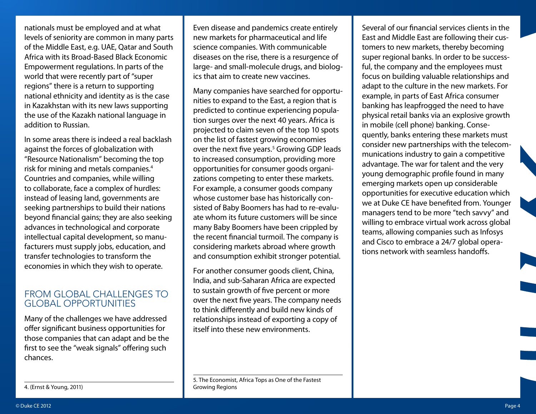nationals must be employed and at what levels of seniority are common in many parts of the Middle East, e.g. UAE, Qatar and South Africa with its Broad-Based Black Economic Empowerment regulations. In parts of the world that were recently part of "super regions" there is a return to supporting national ethnicity and identity as is the case in Kazakhstan with its new laws supporting the use of the Kazakh national language in addition to Russian.

In some areas there is indeed a real backlash against the forces of globalization with "Resource Nationalism" becoming the top risk for mining and metals companies.4 Countries and companies, while willing to collaborate, face a complex of hurdles: instead of leasing land, governments are seeking partnerships to build their nations beyond financial gains; they are also seeking advances in technological and corporate intellectual capital development, so manufacturers must supply jobs, education, and transfer technologies to transform the economies in which they wish to operate.

#### FROM GLOBAL CHALLENGES TO GLOBAL OPPORTUNITIES

Many of the challenges we have addressed offer significant business opportunities for those companies that can adapt and be the first to see the "weak signals" offering such chances.

Even disease and pandemics create entirely new markets for pharmaceutical and life science companies. With communicable diseases on the rise, there is a resurgence of large- and small-molecule drugs, and biologics that aim to create new vaccines.

Many companies have searched for opportunities to expand to the East, a region that is predicted to continue experiencing population surges over the next 40 years. Africa is projected to claim seven of the top 10 spots on the list of fastest growing economies over the next five years.<sup>5</sup> Growing GDP leads to increased consumption, providing more opportunities for consumer goods organizations competing to enter these markets. For example, a consumer goods company whose customer base has historically consisted of Baby Boomers has had to re-evaluate whom its future customers will be since many Baby Boomers have been crippled by the recent financial turmoil. The company is considering markets abroad where growth and consumption exhibit stronger potential.

For another consumer goods client, China, India, and sub-Saharan Africa are expected to sustain growth of five percent or more over the next five years. The company needs to think differently and build new kinds of relationships instead of exporting a copy of itself into these new environments.

5. The Economist, Africa Tops as One of the Fastest Growing Regions

Several of our financial services clients in the East and Middle East are following their customers to new markets, thereby becoming super regional banks. In order to be successful, the company and the employees must focus on building valuable relationships and adapt to the culture in the new markets. For example, in parts of East Africa consumer banking has leapfrogged the need to have physical retail banks via an explosive growth in mobile (cell phone) banking. Consequently, banks entering these markets must consider new partnerships with the telecommunications industry to gain a competitive advantage. The war for talent and the very young demographic profile found in many emerging markets open up considerable opportunities for executive education which we at Duke CE have benefited from. Younger managers tend to be more "tech savvy" and willing to embrace virtual work across global teams, allowing companies such as Infosys and Cisco to embrace a 24/7 global operations network with seamless handoffs.

<sup>4. (</sup>Ernst & Young, 2011)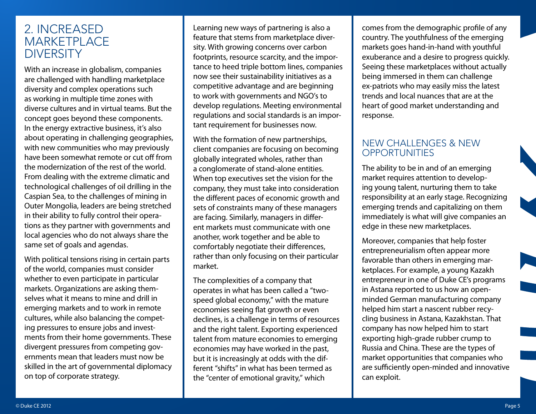#### <span id="page-4-0"></span>2. INCREASED **MARKETPLACE DIVERSITY**

With an increase in globalism, companies are challenged with handling marketplace diversity and complex operations such as working in multiple time zones with diverse cultures and in virtual teams. But the concept goes beyond these components. In the energy extractive business, it's also about operating in challenging geographies, with new communities who may previously have been somewhat remote or cut off from the modernization of the rest of the world. From dealing with the extreme climatic and technological challenges of oil drilling in the Caspian Sea, to the challenges of mining in Outer Mongolia, leaders are being stretched in their ability to fully control their operations as they partner with governments and local agencies who do not always share the same set of goals and agendas.

With political tensions rising in certain parts of the world, companies must consider whether to even participate in particular markets. Organizations are asking themselves what it means to mine and drill in emerging markets and to work in remote cultures, while also balancing the competing pressures to ensure jobs and investments from their home governments. These divergent pressures from competing governments mean that leaders must now be skilled in the art of governmental diplomacy on top of corporate strategy.

Learning new ways of partnering is also a feature that stems from marketplace diversity. With growing concerns over carbon footprints, resource scarcity, and the importance to heed triple bottom lines, companies now see their sustainability initiatives as a competitive advantage and are beginning to work with governments and NGO's to develop regulations. Meeting environmental regulations and social standards is an important requirement for businesses now.

With the formation of new partnerships, client companies are focusing on becoming globally integrated wholes, rather than a conglomerate of stand-alone entities. When top executives set the vision for the company, they must take into consideration the different paces of economic growth and sets of constraints many of these managers are facing. Similarly, managers in different markets must communicate with one another, work together and be able to comfortably negotiate their differences, rather than only focusing on their particular market.

The complexities of a company that operates in what has been called a "twospeed global economy," with the mature economies seeing flat growth or even declines, is a challenge in terms of resources and the right talent. Exporting experienced talent from mature economies to emerging economies may have worked in the past, but it is increasingly at odds with the different "shifts" in what has been termed as the "center of emotional gravity," which

comes from the demographic profile of any country. The youthfulness of the emerging markets goes hand-in-hand with youthful exuberance and a desire to progress quickly. Seeing these marketplaces without actually being immersed in them can challenge ex-patriots who may easily miss the latest trends and local nuances that are at the heart of good market understanding and response.

#### NEW CHALLENGES & NEW **OPPORTUNITIES**

The ability to be in and of an emerging market requires attention to developing young talent, nurturing them to take responsibility at an early stage. Recognizing emerging trends and capitalizing on them immediately is what will give companies an edge in these new marketplaces.

Moreover, companies that help foster entrepreneurialism often appear more favorable than others in emerging marketplaces. For example, a young Kazakh entrepreneur in one of Duke CE's programs in Astana reported to us how an openminded German manufacturing company helped him start a nascent rubber recycling business in Astana, Kazakhstan. That company has now helped him to start exporting high-grade rubber crump to Russia and China. These are the types of market opportunities that companies who are sufficiently open-minded and innovative can exploit.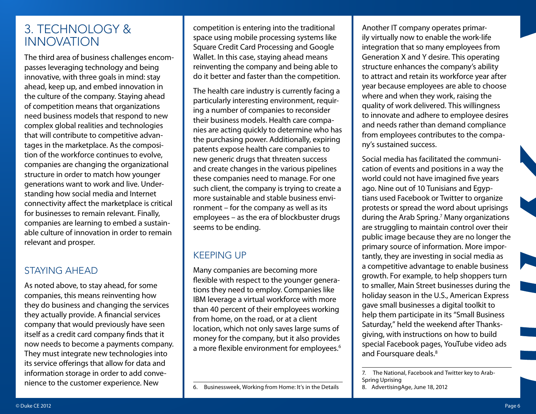#### <span id="page-5-0"></span>3. TECHNOLOGY & INNOVATION

The third area of business challenges encompasses leveraging technology and being innovative, with three goals in mind: stay ahead, keep up, and embed innovation in the culture of the company. Staying ahead of competition means that organizations need business models that respond to new complex global realities and technologies that will contribute to competitive advantages in the marketplace. As the composition of the workforce continues to evolve, companies are changing the organizational structure in order to match how younger generations want to work and live. Understanding how social media and Internet connectivity affect the marketplace is critical for businesses to remain relevant. Finally, companies are learning to embed a sustainable culture of innovation in order to remain relevant and prosper.

#### STAYING AHEAD

As noted above, to stay ahead, for some companies, this means reinventing how they do business and changing the services they actually provide. A financial services company that would previously have seen itself as a credit card company finds that it now needs to become a payments company. They must integrate new technologies into its service offerings that allow for data and information storage in order to add convenience to the customer experience. New

competition is entering into the traditional space using mobile processing systems like Square Credit Card Processing and Google Wallet. In this case, staying ahead means reinventing the company and being able to do it better and faster than the competition.

The health care industry is currently facing a particularly interesting environment, requiring a number of companies to reconsider their business models. Health care companies are acting quickly to determine who has the purchasing power. Additionally, expiring patents expose health care companies to new generic drugs that threaten success and create changes in the various pipelines these companies need to manage. For one such client, the company is trying to create a more sustainable and stable business environment – for the company as well as its employees – as the era of blockbuster drugs seems to be ending.

#### KEEPING UP

Many companies are becoming more flexible with respect to the younger generations they need to employ. Companies like IBM leverage a virtual workforce with more than 40 percent of their employees working from home, on the road, or at a client location, which not only saves large sums of money for the company, but it also provides a more flexible environment for employees.<sup>6</sup>

Another IT company operates primarily virtually now to enable the work-life integration that so many employees from Generation X and Y desire. This operating structure enhances the company's ability to attract and retain its workforce year after year because employees are able to choose where and when they work, raising the quality of work delivered. This willingness to innovate and adhere to employee desires and needs rather than demand compliance from employees contributes to the company's sustained success.

Social media has facilitated the communication of events and positions in a way the world could not have imagined five years ago. Nine out of 10 Tunisians and Egyptians used Facebook or Twitter to organize protests or spread the word about uprisings during the Arab Spring.7 Many organizations are struggling to maintain control over their public image because they are no longer the primary source of information. More importantly, they are investing in social media as a competitive advantage to enable business growth. For example, to help shoppers turn to smaller, Main Street businesses during the holiday season in the U.S., American Express gave small businesses a digital toolkit to help them participate in its "Small Business Saturday," held the weekend after Thanksgiving, with instructions on how to build special Facebook pages, YouTube video ads and Foursquare deals.<sup>8</sup>

<sup>6.</sup> Businessweek, Working from Home: It's in the Details

<sup>7.</sup> The National, Facebook and Twitter key to Arab-Spring Uprising

<sup>8.</sup> AdvertisingAge, June 18, 2012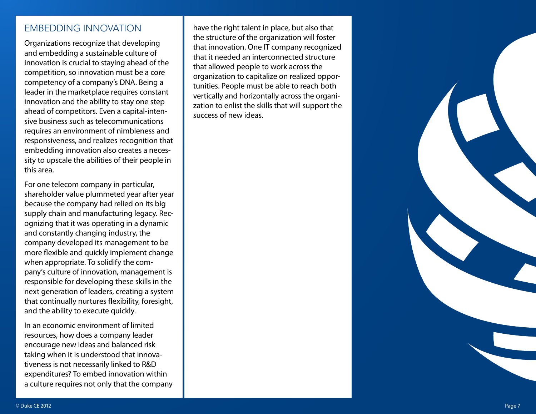#### EMBEDDING INNOVATION

Organizations recognize that developing and embedding a sustainable culture of innovation is crucial to staying ahead of the competition, so innovation must be a core competency of a company's DNA. Being a leader in the marketplace requires constant innovation and the ability to stay one step ahead of competitors. Even a capital-inten sive business such as telecommunications requires an environment of nimbleness and responsiveness, and realizes recognition that embedding innovation also creates a neces sity to upscale the abilities of their people in this area.

For one telecom company in particular, shareholder value plummeted year after year because the company had relied on its big supply chain and manufacturing legacy. Rec ognizing that it was operating in a dynamic and constantly changing industry, the company developed its management to be more flexible and quickly implement change when appropriate. To solidify the com pany's culture of innovation, management is responsible for developing these skills in the next generation of leaders, creating a system that continually nurtures flexibility, foresight, and the ability to execute quickly.

In an economic environment of limited resources, how does a company leader encourage new ideas and balanced risk taking when it is understood that innova tiveness is not necessarily linked to R&D expenditures? To embed innovation within a culture requires not only that the company have the right talent in place, but also that the structure of the organization will foster that innovation. One IT company recognized that it needed an interconnected structure that allowed people to work across the organization to capitalize on realized oppor tunities. People must be able to reach both vertically and horizontally across the organi zation to enlist the skills that will support the success of new ideas.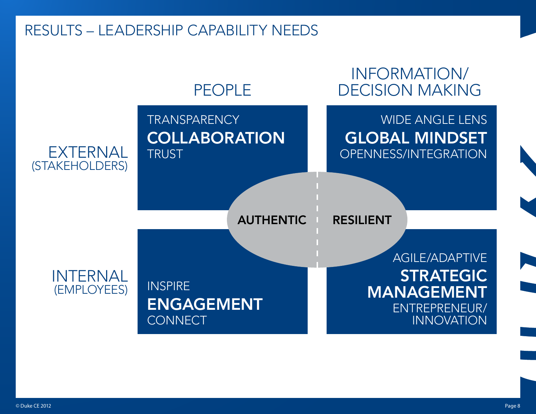### <span id="page-7-0"></span>RESULTS – LEADERSHIP CAPABILITY NEEDS

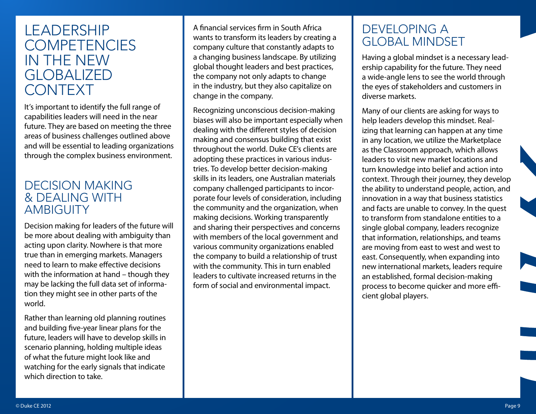### <span id="page-8-0"></span>LEADERSHIP **COMPETENCIES** IN THE NEW **GLOBALIZED** CONTEXT

It's important to identify the full range of capabilities leaders will need in the near future. They are based on meeting the three areas of business challenges outlined above and will be essential to leading organizations through the complex business environment.

#### <span id="page-8-1"></span>DECISION MAKING & DEALING WITH **AMBIGUITY**

Decision making for leaders of the future will be more about dealing with ambiguity than acting upon clarity. Nowhere is that more true than in emerging markets. Managers need to learn to make effective decisions with the information at hand – though they may be lacking the full data set of information they might see in other parts of the world.

Rather than learning old planning routines and building five-year linear plans for the future, leaders will have to develop skills in scenario planning, holding multiple ideas of what the future might look like and watching for the early signals that indicate which direction to take.

A financial services firm in South Africa wants to transform its leaders by creating a company culture that constantly adapts to a changing business landscape. By utilizing global thought leaders and best practices, the company not only adapts to change in the industry, but they also capitalize on change in the company.

Recognizing unconscious decision-making biases will also be important especially when dealing with the different styles of decision making and consensus building that exist throughout the world. Duke CE's clients are adopting these practices in various industries. To develop better decision-making skills in its leaders, one Australian materials company challenged participants to incorporate four levels of consideration, including the community and the organization, when making decisions. Working transparently and sharing their perspectives and concerns with members of the local government and various community organizations enabled the company to build a relationship of trust with the community. This in turn enabled leaders to cultivate increased returns in the form of social and environmental impact.

#### <span id="page-8-2"></span>DEVELOPING A GLOBAL MINDSET

Having a global mindset is a necessary leadership capability for the future. They need a wide-angle lens to see the world through the eyes of stakeholders and customers in diverse markets.

Many of our clients are asking for ways to help leaders develop this mindset. Realizing that learning can happen at any time in any location, we utilize the Marketplace as the Classroom approach, which allows leaders to visit new market locations and turn knowledge into belief and action into context. Through their journey, they develop the ability to understand people, action, and innovation in a way that business statistics and facts are unable to convey. In the quest to transform from standalone entities to a single global company, leaders recognize that information, relationships, and teams are moving from east to west and west to east. Consequently, when expanding into new international markets, leaders require an established, formal decision-making process to become quicker and more efficient global players.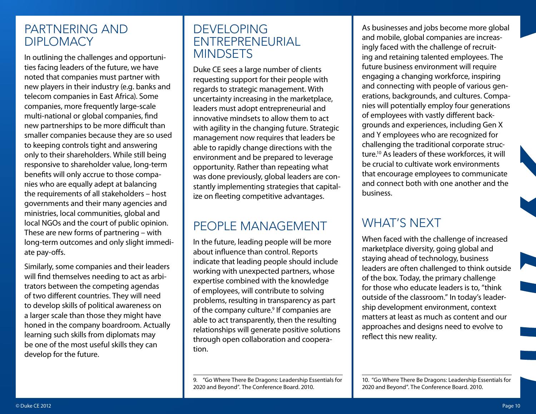#### <span id="page-9-0"></span>PARTNERING AND **DIPLOMACY**

In outlining the challenges and opportunities facing leaders of the future, we have noted that companies must partner with new players in their industry (e.g. banks and telecom companies in East Africa). Some companies, more frequently large-scale multi-national or global companies, find new partnerships to be more difficult than smaller companies because they are so used to keeping controls tight and answering only to their shareholders. While still being responsive to shareholder value, long-term benefits will only accrue to those companies who are equally adept at balancing the requirements of all stakeholders – host governments and their many agencies and ministries, local communities, global and local NGOs and the court of public opinion. These are new forms of partnering – with long-term outcomes and only slight immediate pay-offs.

Similarly, some companies and their leaders will find themselves needing to act as arbitrators between the competing agendas of two different countries. They will need to develop skills of political awareness on a larger scale than those they might have honed in the company boardroom. Actually learning such skills from diplomats may be one of the most useful skills they can develop for the future.

#### <span id="page-9-1"></span>DEVELOPING ENTREPRENEURIAL **MINDSETS**

Duke CE sees a large number of clients requesting support for their people with regards to strategic management. With uncertainty increasing in the marketplace, leaders must adopt entrepreneurial and innovative mindsets to allow them to act with agility in the changing future. Strategic management now requires that leaders be able to rapidly change directions with the environment and be prepared to leverage opportunity. Rather than repeating what was done previously, global leaders are constantly implementing strategies that capitalize on fleeting competitive advantages.

#### <span id="page-9-2"></span>PEOPLE MANAGEMENT

In the future, leading people will be more about influence than control. Reports indicate that leading people should include working with unexpected partners, whose expertise combined with the knowledge of employees, will contribute to solving problems, resulting in transparency as part of the company culture.<sup>9</sup> If companies are able to act transparently, then the resulting relationships will generate positive solutions through open collaboration and cooperation.

9. "Go Where There Be Dragons: Leadership Essentials for 2020 and Beyond". The Conference Board. 2010.

As businesses and jobs become more global and mobile, global companies are increasingly faced with the challenge of recruiting and retaining talented employees. The future business environment will require engaging a changing workforce, inspiring and connecting with people of various generations, backgrounds, and cultures. Companies will potentially employ four generations of employees with vastly different backgrounds and experiences, including Gen X and Y employees who are recognized for challenging the traditional corporate structure.10 As leaders of these workforces, it will be crucial to cultivate work environments that encourage employees to communicate and connect both with one another and the business.

### WHAT'S NEXT

When faced with the challenge of increased marketplace diversity, going global and staying ahead of technology, business leaders are often challenged to think outside of the box. Today, the primary challenge for those who educate leaders is to, "think outside of the classroom." In today's leadership development environment, context matters at least as much as content and our approaches and designs need to evolve to reflect this new reality.

10. "Go Where There Be Dragons: Leadership Essentials for 2020 and Beyond". The Conference Board. 2010.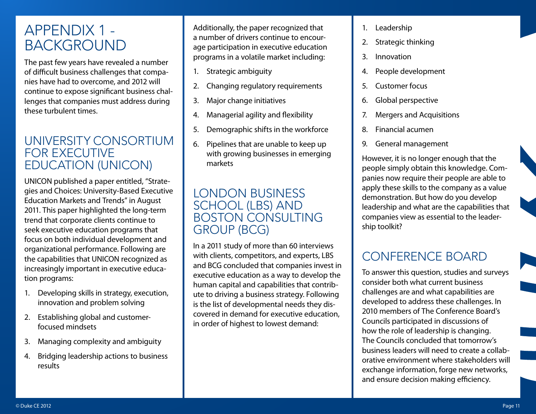## <span id="page-10-0"></span>APPENDIX 1 - BACKGROUND

The past few years have revealed a number of difficult business challenges that companies have had to overcome, and 2012 will continue to expose significant business challenges that companies must address during these turbulent times.

#### <span id="page-10-1"></span>UNIVERSITY CONSORTIUM FOR EXECUTIVE EDUCATION (UNICON)

UNICON published a paper entitled, "Strategies and Choices: University-Based Executive Education Markets and Trends" in August 2011. This paper highlighted the long-term trend that corporate clients continue to seek executive education programs that focus on both individual development and organizational performance. Following are the capabilities that UNICON recognized as increasingly important in executive education programs:

- 1. Developing skills in strategy, execution, innovation and problem solving
- 2. Establishing global and customerfocused mindsets
- 3. Managing complexity and ambiguity
- 4. Bridging leadership actions to business results

Additionally, the paper recognized that a number of drivers continue to encourage participation in executive education programs in a volatile market including:

- 1. Strategic ambiguity
- 2. Changing regulatory requirements
- 3. Major change initiatives
- 4. Managerial agility and flexibility
- 5. Demographic shifts in the workforce
- 6. Pipelines that are unable to keep up with growing businesses in emerging markets

#### <span id="page-10-2"></span>LONDON BUSINESS SCHOOL (LBS) AND BOSTON CONSULTING GROUP (BCG)

In a 2011 study of more than 60 interviews with clients, competitors, and experts, LBS and BCG concluded that companies invest in executive education as a way to develop the human capital and capabilities that contribute to driving a business strategy. Following is the list of developmental needs they discovered in demand for executive education, in order of highest to lowest demand:

- 1. Leadership
- 2. Strategic thinking
- 3. Innovation
- 4. People development
- 5. Customer focus
- 6. Global perspective
- 7. Mergers and Acquisitions
- 8. Financial acumen
- 9. General management

However, it is no longer enough that the people simply obtain this knowledge. Companies now require their people are able to apply these skills to the company as a value demonstration. But how do you develop leadership and what are the capabilities that companies view as essential to the leadership toolkit?

## <span id="page-10-3"></span>CONFERENCE BOARD

To answer this question, studies and surveys consider both what current business challenges are and what capabilities are developed to address these challenges. In 2010 members of The Conference Board's Councils participated in discussions of how the role of leadership is changing. The Councils concluded that tomorrow's business leaders will need to create a collaborative environment where stakeholders will exchange information, forge new networks, and ensure decision making efficiency.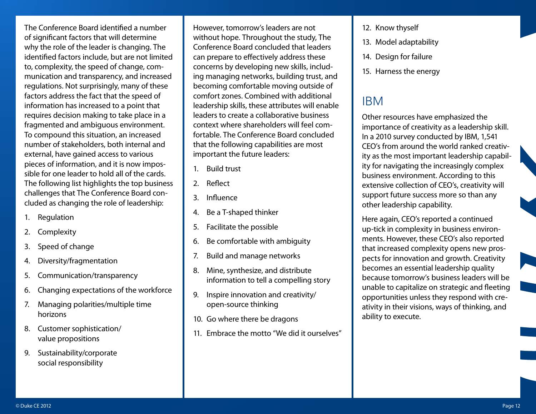The Conference Board identified a number of significant factors that will determine why the role of the leader is changing. The identified factors include, but are not limited to, complexity, the speed of change, communication and transparency, and increased regulations. Not surprisingly, many of these factors address the fact that the speed of information has increased to a point that requires decision making to take place in a fragmented and ambiguous environment. To compound this situation, an increased number of stakeholders, both internal and external, have gained access to various pieces of information, and it is now impossible for one leader to hold all of the cards. The following list highlights the top business challenges that The Conference Board concluded as changing the role of leadership:

- 1. Regulation
- 2. Complexity
- 3. Speed of change
- 4. Diversity/fragmentation
- 5. Communication/transparency
- 6. Changing expectations of the workforce
- 7. Managing polarities/multiple time horizons
- 8. Customer sophistication/ value propositions
- 9. Sustainability/corporate social responsibility

However, tomorrow's leaders are not without hope. Throughout the study, The Conference Board concluded that leaders can prepare to effectively address these concerns by developing new skills, including managing networks, building trust, and becoming comfortable moving outside of comfort zones. Combined with additional leadership skills, these attributes will enable leaders to create a collaborative business context where shareholders will feel comfortable. The Conference Board concluded that the following capabilities are most important the future leaders:

- 1. Build trust
- 2. Reflect
- 3. Influence
- 4. Be a T-shaped thinker
- 5. Facilitate the possible
- 6. Be comfortable with ambiguity
- 7. Build and manage networks
- 8. Mine, synthesize, and distribute information to tell a compelling story
- 9. Inspire innovation and creativity/ open-source thinking
- 10. Go where there be dragons
- 11. Embrace the motto "We did it ourselves"
- 12. Know thyself
- 13. Model adaptability
- 14. Design for failure
- 15. Harness the energy

#### <span id="page-11-0"></span>IBM

Other resources have emphasized the importance of creativity as a leadership skill. In a 2010 survey conducted by IBM, 1,541 CEO's from around the world ranked creativity as the most important leadership capability for navigating the increasingly complex business environment. According to this extensive collection of CEO's, creativity will support future success more so than any other leadership capability.

Here again, CEO's reported a continued up-tick in complexity in business environments. However, these CEO's also reported that increased complexity opens new prospects for innovation and growth. Creativity becomes an essential leadership quality because tomorrow's business leaders will be unable to capitalize on strategic and fleeting opportunities unless they respond with creativity in their visions, ways of thinking, and ability to execute.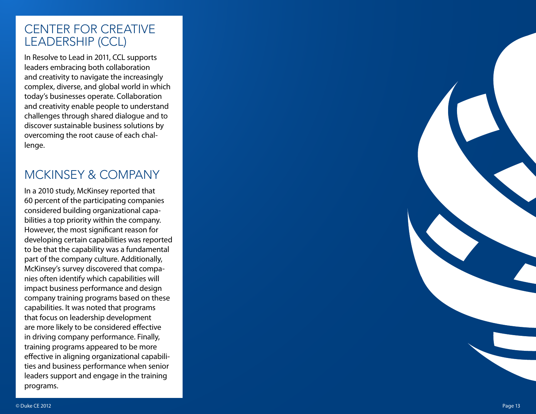#### <span id="page-12-0"></span>CENTER FOR CREATIVE LEADERSHIP (CCL)

In Resolve to Lead in 2011, CCL supports leaders embracing both collaboration and creativity to navigate the increasingly complex, diverse, and global world in which today's businesses operate. Collaboration and creativity enable people to understand challenges through shared dialogue and to discover sustainable business solutions by overcoming the root cause of each chal lenge.

### <span id="page-12-1"></span>MCKINSEY & COMPANY

In a 2010 study, McKinsey reported that 60 percent of the participating companies considered building organizational capa bilities a top priority within the company. However, the most significant reason for developing certain capabilities was reported to be that the capability was a fundamental part of the company culture. Additionally, McKinsey's survey discovered that compa nies often identify which capabilities will impact business performance and design company training programs based on these capabilities. It was noted that programs that focus on leadership development are more likely to be considered effective in driving company performance. Finally, training programs appeared to be more effective in aligning organizational capabili ties and business performance when senior leaders support and engage in the training programs.